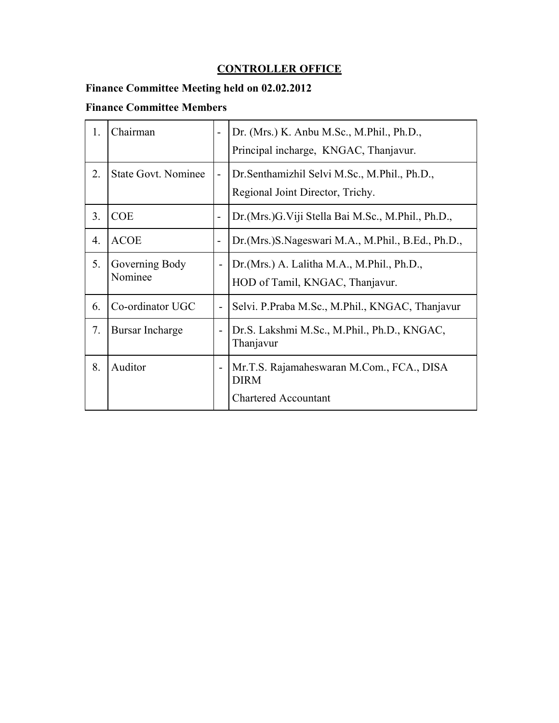#### **CONTROLLER OFFICE**

# **Finance Committee Meeting held on 02.02.2012**

#### **Finance Committee Members**

| 1.               | Chairman                   | $\blacksquare$           | Dr. (Mrs.) K. Anbu M.Sc., M.Phil., Ph.D.,<br>Principal incharge, KNGAC, Thanjavur.      |
|------------------|----------------------------|--------------------------|-----------------------------------------------------------------------------------------|
| 2.               | <b>State Govt. Nominee</b> | $\overline{\phantom{a}}$ | Dr. Senthamizhil Selvi M. Sc., M. Phil., Ph.D.,<br>Regional Joint Director, Trichy.     |
| 3 <sub>1</sub>   | <b>COE</b>                 | $\overline{\phantom{a}}$ | Dr. (Mrs.) G. Viji Stella Bai M. Sc., M. Phil., Ph.D.,                                  |
| $\overline{4}$ . | <b>ACOE</b>                | $\overline{\phantom{a}}$ | Dr. (Mrs.) S. Nageswari M.A., M. Phil., B. Ed., Ph.D.,                                  |
| 5.               | Governing Body<br>Nominee  | $\overline{\phantom{0}}$ | Dr. (Mrs.) A. Lalitha M.A., M.Phil., Ph.D.,<br>HOD of Tamil, KNGAC, Thanjavur.          |
| 6.               | Co-ordinator UGC           | $\overline{\phantom{0}}$ | Selvi. P.Praba M.Sc., M.Phil., KNGAC, Thanjavur                                         |
| 7.               | <b>Bursar Incharge</b>     | $\overline{\phantom{0}}$ | Dr.S. Lakshmi M.Sc., M.Phil., Ph.D., KNGAC,<br>Thanjavur                                |
| 8.               | Auditor                    | $\overline{\phantom{0}}$ | Mr.T.S. Rajamaheswaran M.Com., FCA., DISA<br><b>DIRM</b><br><b>Chartered Accountant</b> |
|                  |                            |                          |                                                                                         |